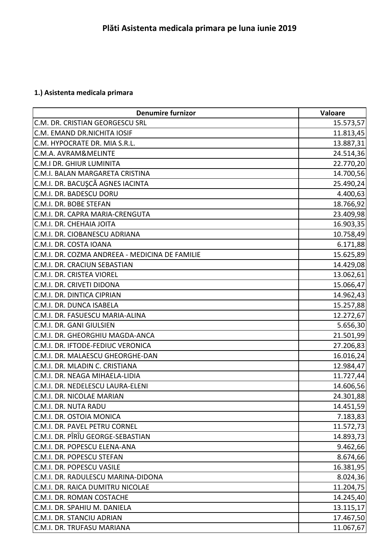## **1.) Asistenta medicala primara**

| <b>Denumire furnizor</b>                       | Valoare   |
|------------------------------------------------|-----------|
| C.M. DR. CRISTIAN GEORGESCU SRL                | 15.573,57 |
| C.M. EMAND DR.NICHITA IOSIF                    | 11.813,45 |
| C.M. HYPOCRATE DR. MIA S.R.L.                  | 13.887,31 |
| C.M.A. AVRAM&MELINTE                           | 24.514,36 |
| C.M.I DR. GHIUR LUMINITA                       | 22.770,20 |
| C.M.I. BALAN MARGARETA CRISTINA                | 14.700,56 |
| C.M.I. DR. BACUŞCĂ AGNES IACINTA               | 25.490,24 |
| C.M.I. DR. BADESCU DORU                        | 4.400,63  |
| C.M.I. DR. BOBE STEFAN                         | 18.766,92 |
| C.M.I. DR. CAPRA MARIA-CRENGUTA                | 23.409,98 |
| C.M.I. DR. CHEHAIA JOITA                       | 16.903,35 |
| C.M.I. DR. CIOBANESCU ADRIANA                  | 10.758,49 |
| C.M.I. DR. COSTA IOANA                         | 6.171,88  |
| C.M.I. DR. COZMA ANDREEA - MEDICINA DE FAMILIE | 15.625,89 |
| C.M.I. DR. CRACIUN SEBASTIAN                   | 14.429,08 |
| C.M.I. DR. CRISTEA VIOREL                      | 13.062,61 |
| C.M.I. DR. CRIVETI DIDONA                      | 15.066,47 |
| C.M.I. DR. DINTICA CIPRIAN                     | 14.962,43 |
| C.M.I. DR. DUNCA ISABELA                       | 15.257,88 |
| C.M.I. DR. FASUESCU MARIA-ALINA                | 12.272,67 |
| C.M.I. DR. GANI GIULSIEN                       | 5.656,30  |
| C.M.I. DR. GHEORGHIU MAGDA-ANCA                | 21.501,99 |
| C.M.I. DR. IFTODE-FEDIUC VERONICA              | 27.206,83 |
| C.M.I. DR. MALAESCU GHEORGHE-DAN               | 16.016,24 |
| C.M.I. DR. MLADIN C. CRISTIANA                 | 12.984,47 |
| C.M.I. DR. NEAGA MIHAELA-LIDIA                 | 11.727,44 |
| C.M.I. DR. NEDELESCU LAURA-ELENI               | 14.606,56 |
| C.M.I. DR. NICOLAE MARIAN                      | 24.301,88 |
| C.M.I. DR. NUTA RADU                           | 14.451,59 |
| C.M.I. DR. OSTOIA MONICA                       | 7.183,83  |
| C.M.I. DR. PAVEL PETRU CORNEL                  | 11.572,73 |
| C.M.I. DR. PÎRÎU GEORGE-SEBASTIAN              | 14.893,73 |
| C.M.I. DR. POPESCU ELENA-ANA                   | 9.462,66  |
| C.M.I. DR. POPESCU STEFAN                      | 8.674,66  |
| C.M.I. DR. POPESCU VASILE                      | 16.381,95 |
| C.M.I. DR. RADULESCU MARINA-DIDONA             | 8.024,36  |
| C.M.I. DR. RAICA DUMITRU NICOLAE               | 11.204,75 |
| C.M.I. DR. ROMAN COSTACHE                      | 14.245,40 |
| C.M.I. DR. SPAHIU M. DANIELA                   | 13.115,17 |
| C.M.I. DR. STANCIU ADRIAN                      | 17.467,50 |
| C.M.I. DR. TRUFASU MARIANA                     | 11.067,67 |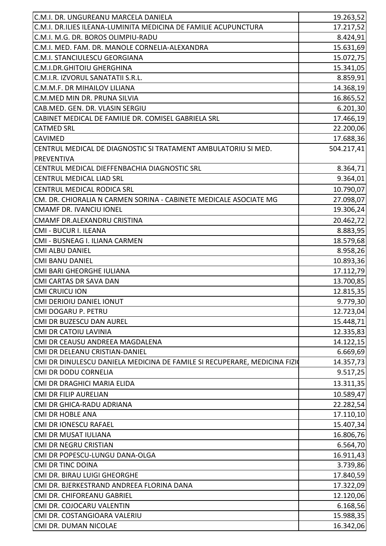| C.M.I. DR. UNGUREANU MARCELA DANIELA                                      | 19.263,52  |
|---------------------------------------------------------------------------|------------|
| C.M.I. DR.ILIES ILEANA-LUMINITA MEDICINA DE FAMILIE ACUPUNCTURA           | 17.217,52  |
| C.M.I. M.G. DR. BOROS OLIMPIU-RADU                                        | 8.424,91   |
| C.M.I. MED. FAM. DR. MANOLE CORNELIA-ALEXANDRA                            | 15.631,69  |
| C.M.I. STANCIULESCU GEORGIANA                                             | 15.072,75  |
| C.M.I.DR.GHITOIU GHERGHINA                                                | 15.341,05  |
| C.M.I.R. IZVORUL SANATATII S.R.L.                                         | 8.859,91   |
| C.M.M.F. DR MIHAILOV LILIANA                                              | 14.368,19  |
| C.M.MED MIN DR. PRUNA SILVIA                                              | 16.865,52  |
| CAB.MED. GEN. DR. VLASIN SERGIU                                           | 6.201,30   |
| CABINET MEDICAL DE FAMILIE DR. COMISEL GABRIELA SRL                       | 17.466,19  |
| <b>CATMED SRL</b>                                                         | 22.200,06  |
| <b>CAVIMED</b>                                                            | 17.688,36  |
| CENTRUL MEDICAL DE DIAGNOSTIC SI TRATAMENT AMBULATORIU SI MED.            | 504.217,41 |
| <b>PREVENTIVA</b>                                                         |            |
| CENTRUL MEDICAL DIEFFENBACHIA DIAGNOSTIC SRL                              | 8.364,71   |
| <b>CENTRUL MEDICAL LIAD SRL</b>                                           | 9.364,01   |
| CENTRUL MEDICAL RODICA SRL                                                | 10.790,07  |
| CM. DR. CHIORALIA N CARMEN SORINA - CABINETE MEDICALE ASOCIATE MG         | 27.098,07  |
| <b>CMAMF DR. IVANCIU IONEL</b>                                            | 19.306,24  |
| CMAMF DR.ALEXANDRU CRISTINA                                               | 20.462,72  |
| CMI - BUCUR I. ILEANA                                                     | 8.883,95   |
| CMI - BUSNEAG I. ILIANA CARMEN                                            | 18.579,68  |
| <b>CMI ALBU DANIEL</b>                                                    | 8.958,26   |
| <b>CMI BANU DANIEL</b>                                                    | 10.893,36  |
| <b>CMI BARI GHEORGHE IULIANA</b>                                          | 17.112,79  |
| <b>CMI CARTAS DR SAVA DAN</b>                                             | 13.700,85  |
| <b>CMI CRUICU ION</b>                                                     | 12.815,35  |
| CMI DERIOIU DANIEL IONUT                                                  | 9.779,30   |
| CMI DOGARU P. PETRU                                                       | 12.723,04  |
| CMI DR BUZESCU DAN AUREL                                                  | 15.448,71  |
| <b>CMI DR CATOIU LAVINIA</b>                                              | 12.335,83  |
| CMI DR CEAUSU ANDREEA MAGDALENA                                           | 14.122,15  |
| CMI DR DELEANU CRISTIAN-DANIEL                                            | 6.669,69   |
| CMI DR DINULESCU DANIELA MEDICINA DE FAMILE SI RECUPERARE, MEDICINA FIZIO | 14.357,73  |
| <b>CMI DR DODU CORNELIA</b>                                               | 9.517,25   |
| CMI DR DRAGHICI MARIA ELIDA                                               | 13.311,35  |
| <b>CMI DR FILIP AURELIAN</b>                                              | 10.589,47  |
| CMI DR GHICA-RADU ADRIANA                                                 | 22.282,54  |
| <b>CMI DR HOBLE ANA</b>                                                   | 17.110,10  |
| <b>CMI DR IONESCU RAFAEL</b>                                              | 15.407,34  |
| CMI DR MUSAT IULIANA                                                      | 16.806,76  |
| <b>CMI DR NEGRU CRISTIAN</b>                                              | 6.564,70   |
| CMI DR POPESCU-LUNGU DANA-OLGA                                            | 16.911,43  |
| <b>CMI DR TINC DOINA</b>                                                  | 3.739,86   |
| CMI DR. BIRAU LUIGI GHEORGHE                                              | 17.840,59  |
| CMI DR. BJERKESTRAND ANDREEA FLORINA DANA                                 | 17.322,09  |
| <b>CMI DR. CHIFOREANU GABRIEL</b>                                         | 12.120,06  |
| CMI DR. COJOCARU VALENTIN                                                 | 6.168,56   |
| CMI DR. COSTANGIOARA VALERIU                                              | 15.988,35  |
| CMI DR. DUMAN NICOLAE                                                     | 16.342,06  |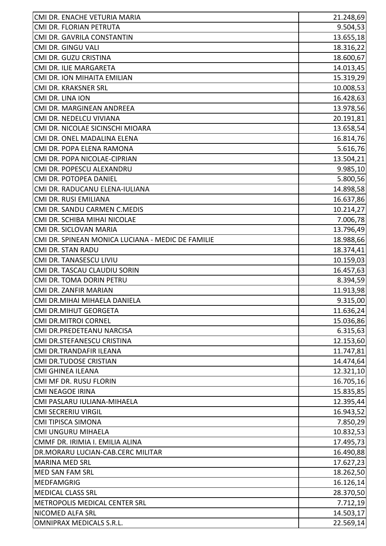| CMI DR. ENACHE VETURIA MARIA                      | 21.248,69 |
|---------------------------------------------------|-----------|
| CMI DR. FLORIAN PETRUTA                           | 9.504,53  |
| CMI DR. GAVRILA CONSTANTIN                        | 13.655,18 |
| CMI DR. GINGU VALI                                | 18.316,22 |
| CMI DR. GUZU CRISTINA                             | 18.600,67 |
| CMI DR. ILIE MARGARETA                            | 14.013,45 |
| CMI DR. ION MIHAITA EMILIAN                       | 15.319,29 |
| CMI DR. KRAKSNER SRL                              | 10.008,53 |
| CMI DR. LINA ION                                  | 16.428,63 |
| CMI DR. MARGINEAN ANDREEA                         | 13.978,56 |
| CMI DR. NEDELCU VIVIANA                           | 20.191,81 |
| CMI DR. NICOLAE SICINSCHI MIOARA                  | 13.658,54 |
| CMI DR. ONEL MADALINA ELENA                       | 16.814,76 |
| CMI DR. POPA ELENA RAMONA                         | 5.616,76  |
| CMI DR. POPA NICOLAE-CIPRIAN                      | 13.504,21 |
| CMI DR. POPESCU ALEXANDRU                         | 9.985,10  |
| CMI DR. POTOPEA DANIEL                            | 5.800,56  |
| CMI DR. RADUCANU ELENA-IULIANA                    | 14.898,58 |
| CMI DR. RUSI EMILIANA                             | 16.637,86 |
| CMI DR. SANDU CARMEN C.MEDIS                      | 10.214,27 |
| CMI DR. SCHIBA MIHAI NICOLAE                      | 7.006,78  |
| CMI DR. SICLOVAN MARIA                            | 13.796,49 |
| CMI DR. SPINEAN MONICA LUCIANA - MEDIC DE FAMILIE | 18.988,66 |
| <b>CMI DR. STAN RADU</b>                          | 18.374,41 |
| CMI DR. TANASESCU LIVIU                           | 10.159,03 |
| CMI DR. TASCAU CLAUDIU SORIN                      | 16.457,63 |
| CMI DR. TOMA DORIN PETRU                          | 8.394,59  |
| CMI DR. ZANFIR MARIAN                             | 11.913,98 |
| CMI DR.MIHAI MIHAELA DANIELA                      | 9.315,00  |
| <b>CMI DR.MIHUT GEORGETA</b>                      | 11.636,24 |
| <b>CMI DR.MITROI CORNEL</b>                       | 15.036,86 |
| CMI DR.PREDETEANU NARCISA                         | 6.315,63  |
| CMI DR.STEFANESCU CRISTINA                        | 12.153,60 |
| CMI DR.TRANDAFIR ILEANA                           | 11.747,81 |
| <b>CMI DR.TUDOSE CRISTIAN</b>                     | 14.474,64 |
| <b>CMI GHINEA ILEANA</b>                          | 12.321,10 |
| CMI MF DR. RUSU FLORIN                            | 16.705,16 |
| <b>CMI NEAGOE IRINA</b>                           | 15.835,85 |
| CMI PASLARU IULIANA-MIHAELA                       | 12.395,44 |
| <b>CMI SECRERIU VIRGIL</b>                        | 16.943,52 |
| CMI TIPISCA SIMONA                                | 7.850,29  |
| CMI UNGURU MIHAELA                                | 10.832,53 |
| CMMF DR. IRIMIA I. EMILIA ALINA                   | 17.495,73 |
| DR.MORARU LUCIAN-CAB.CERC MILITAR                 | 16.490,88 |
| <b>MARINA MED SRL</b>                             | 17.627,23 |
| <b>MED SAN FAM SRL</b>                            | 18.262,50 |
| <b>MEDFAMGRIG</b>                                 | 16.126,14 |
| <b>MEDICAL CLASS SRL</b>                          | 28.370,50 |
| METROPOLIS MEDICAL CENTER SRL                     | 7.712,19  |
| NICOMED ALFA SRL                                  | 14.503,17 |
| OMNIPRAX MEDICALS S.R.L.                          | 22.569,14 |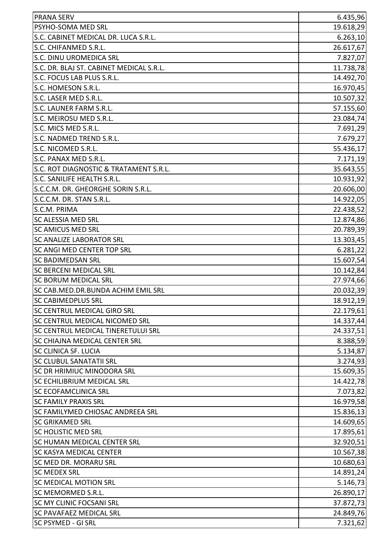| <b>PRANA SERV</b>                         | 6.435,96  |
|-------------------------------------------|-----------|
| PSYHO-SOMA MED SRL                        | 19.618,29 |
| S.C. CABINET MEDICAL DR. LUCA S.R.L.      | 6.263,10  |
| S.C. CHIFANMED S.R.L.                     | 26.617,67 |
| S.C. DINU UROMEDICA SRL                   | 7.827,07  |
| S.C. DR. BLAJ ST. CABINET MEDICAL S.R.L.  | 11.738,78 |
| S.C. FOCUS LAB PLUS S.R.L.                | 14.492,70 |
| S.C. HOMESON S.R.L.                       | 16.970,45 |
| S.C. LASER MED S.R.L.                     | 10.507,32 |
| S.C. LAUNER FARM S.R.L.                   | 57.155,60 |
| S.C. MEIROSU MED S.R.L.                   | 23.084,74 |
| S.C. MICS MED S.R.L.                      | 7.691,29  |
| S.C. NADMED TREND S.R.L.                  | 7.679,27  |
| S.C. NICOMED S.R.L.                       | 55.436,17 |
| S.C. PANAX MED S.R.L.                     | 7.171,19  |
| S.C. ROT DIAGNOSTIC & TRATAMENT S.R.L.    | 35.643,55 |
| S.C. SANILIFE HEALTH S.R.L.               | 10.931,92 |
| S.C.C.M. DR. GHEORGHE SORIN S.R.L.        | 20.606,00 |
| S.C.C.M. DR. STAN S.R.L.                  | 14.922,05 |
| S.C.M. PRIMA                              | 22.438,52 |
| <b>SC ALESSIA MED SRL</b>                 | 12.874,86 |
| <b>SC AMICUS MED SRL</b>                  | 20.789,39 |
| <b>SC ANALIZE LABORATOR SRL</b>           | 13.303,45 |
| <b>SC ANGI MED CENTER TOP SRL</b>         | 6.281,22  |
| <b>SC BADIMEDSAN SRL</b>                  | 15.607,54 |
| <b>SC BERCENI MEDICAL SRL</b>             | 10.142,84 |
| <b>SC BORUM MEDICAL SRL</b>               | 27.974,66 |
| SC CAB.MED.DR.BUNDA ACHIM EMIL SRL        | 20.032,39 |
| <b>SC CABIMEDPLUS SRL</b>                 | 18.912,19 |
| SC CENTRUL MEDICAL GIRO SRL               | 22.179,61 |
| SC CENTRUL MEDICAL NICOMED SRL            | 14.337,44 |
| <b>SC CENTRUL MEDICAL TINERETULUI SRL</b> | 24.337,51 |
| <b>SC CHIAJNA MEDICAL CENTER SRL</b>      | 8.388,59  |
| <b>SC CLINICA SF. LUCIA</b>               | 5.134,87  |
| SC CLUBUL SANATATII SRL                   | 3.274,93  |
| <b>SC DR HRIMIUC MINODORA SRL</b>         | 15.609,35 |
| <b>SC ECHILIBRIUM MEDICAL SRL</b>         | 14.422,78 |
| <b>SC ECOFAMCLINICA SRL</b>               | 7.073,82  |
| <b>SC FAMILY PRAXIS SRL</b>               | 16.979,58 |
| <b>SC FAMILYMED CHIOSAC ANDREEA SRL</b>   | 15.836,13 |
| <b>SC GRIKAMED SRL</b>                    | 14.609,65 |
| <b>SC HOLISTIC MED SRL</b>                | 17.895,61 |
| <b>SC HUMAN MEDICAL CENTER SRL</b>        | 32.920,51 |
| <b>SC KASYA MEDICAL CENTER</b>            | 10.567,38 |
| SC MED DR. MORARU SRL                     | 10.680,63 |
| <b>SC MEDEX SRL</b>                       | 14.891,24 |
| <b>SC MEDICAL MOTION SRL</b>              | 5.146,73  |
| <b>SC MEMORMED S.R.L.</b>                 | 26.890,17 |
| <b>SC MY CLINIC FOCSANI SRL</b>           | 37.872,73 |
| <b>SC PAVAFAEZ MEDICAL SRL</b>            | 24.849,76 |
| <b>SC PSYMED - GI SRL</b>                 | 7.321,62  |